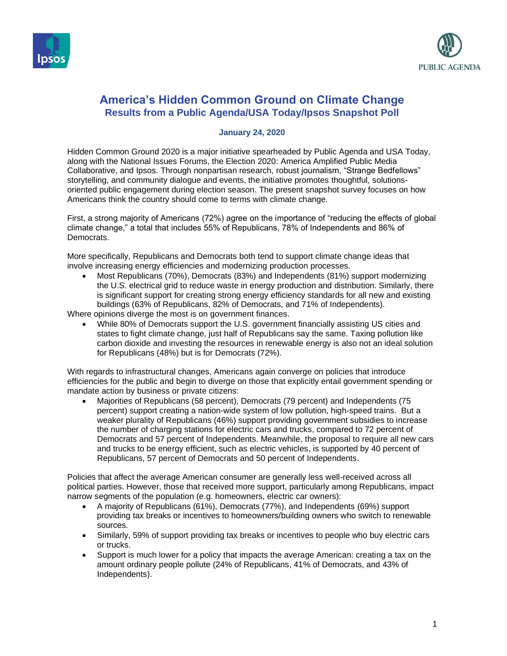



# **America's Hidden Common Ground on Climate Change Results from a Public Agenda/USA Today/Ipsos Snapshot Poll**

#### **January 24, 2020**

Hidden Common Ground 2020 is a major initiative spearheaded by Public Agenda and USA Today, along with the National Issues Forums, the Election 2020: America Amplified Public Media Collaborative, and Ipsos. Through nonpartisan research, robust journalism, "Strange Bedfellows" storytelling, and community dialogue and events, the initiative promotes thoughtful, solutionsoriented public engagement during election season. The present snapshot survey focuses on how Americans think the country should come to terms with climate change.

First, a strong majority of Americans (72%) agree on the importance of "reducing the effects of global climate change," a total that includes 55% of Republicans, 78% of Independents and 86% of Democrats.

More specifically, Republicans and Democrats both tend to support climate change ideas that involve increasing energy efficiencies and modernizing production processes.

• Most Republicans (70%), Democrats (83%) and Independents (81%) support modernizing the U.S. electrical grid to reduce waste in energy production and distribution. Similarly, there is significant support for creating strong energy efficiency standards for all new and existing buildings (63% of Republicans, 82% of Democrats, and 71% of Independents).

Where opinions diverge the most is on government finances.

• While 80% of Democrats support the U.S. government financially assisting US cities and states to fight climate change, just half of Republicans say the same. Taxing pollution like carbon dioxide and investing the resources in renewable energy is also not an ideal solution for Republicans (48%) but is for Democrats (72%).

With regards to infrastructural changes, Americans again converge on policies that introduce efficiencies for the public and begin to diverge on those that explicitly entail government spending or mandate action by business or private citizens:

• Majorities of Republicans (58 percent), Democrats (79 percent) and Independents (75 percent) support creating a nation-wide system of low pollution, high-speed trains. But a weaker plurality of Republicans (46%) support providing government subsidies to increase the number of charging stations for electric cars and trucks, compared to 72 percent of Democrats and 57 percent of Independents. Meanwhile, the proposal to require all new cars and trucks to be energy efficient, such as electric vehicles, is supported by 40 percent of Republicans, 57 percent of Democrats and 50 percent of Independents.

Policies that affect the average American consumer are generally less well-received across all political parties. However, those that received more support, particularly among Republicans, impact narrow segments of the population (e.g. homeowners, electric car owners):

- A majority of Republicans (61%), Democrats (77%), and Independents (69%) support providing tax breaks or incentives to homeowners/building owners who switch to renewable sources.
- Similarly, 59% of support providing tax breaks or incentives to people who buy electric cars or trucks.
- Support is much lower for a policy that impacts the average American: creating a tax on the amount ordinary people pollute (24% of Republicans, 41% of Democrats, and 43% of Independents).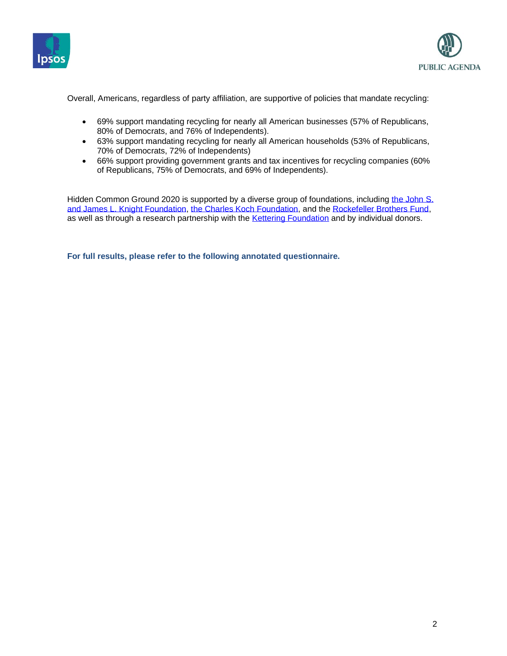



Overall, Americans, regardless of party affiliation, are supportive of policies that mandate recycling:

- 69% support mandating recycling for nearly all American businesses (57% of Republicans, 80% of Democrats, and 76% of Independents).
- 63% support mandating recycling for nearly all American households (53% of Republicans, 70% of Democrats, 72% of Independents)
- 66% support providing government grants and tax incentives for recycling companies (60% of Republicans, 75% of Democrats, and 69% of Independents).

Hidden Common Ground 2020 is supported by a diverse group of foundations, including the John S. [and James L. Knight Foundation,](https://knightfoundation.org/) [the Charles Koch Foundation,](https://www.charleskochfoundation.org/) and the [Rockefeller Brothers Fund,](https://www.rbf.org/)  as well as through a research partnership with the [Kettering Foundation](https://www.kettering.org/) and by individual donors.

**For full results, please refer to the following annotated questionnaire.**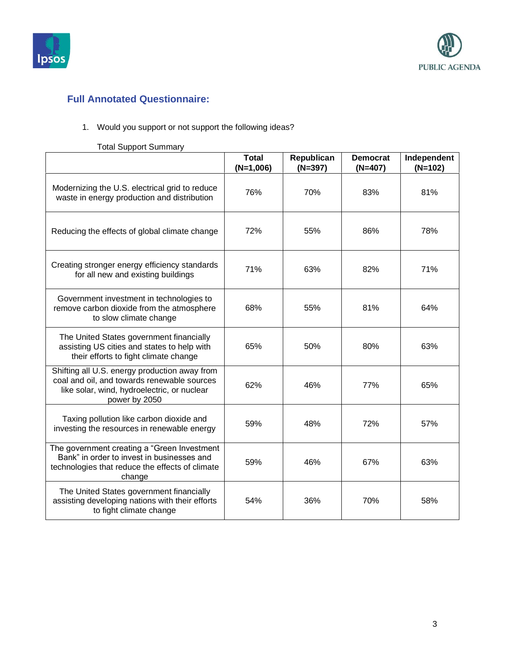



# **Full Annotated Questionnaire:**

### 1. Would you support or not support the following ideas?

# Total Support Summary

|                                                                                                                                                              | <b>Total</b><br>$(N=1,006)$ | Republican<br>$(N=397)$ | <b>Democrat</b><br>$(N=407)$ | Independent<br>$(N=102)$ |
|--------------------------------------------------------------------------------------------------------------------------------------------------------------|-----------------------------|-------------------------|------------------------------|--------------------------|
| Modernizing the U.S. electrical grid to reduce<br>waste in energy production and distribution                                                                | 76%                         | 70%                     | 83%                          | 81%                      |
| Reducing the effects of global climate change                                                                                                                | 72%                         | 55%                     | 86%                          | 78%                      |
| Creating stronger energy efficiency standards<br>for all new and existing buildings                                                                          | 71%                         | 63%                     | 82%                          | 71%                      |
| Government investment in technologies to<br>remove carbon dioxide from the atmosphere<br>to slow climate change                                              | 68%                         | 55%                     | 81%                          | 64%                      |
| The United States government financially<br>assisting US cities and states to help with<br>their efforts to fight climate change                             | 65%                         | 50%                     | 80%                          | 63%                      |
| Shifting all U.S. energy production away from<br>coal and oil, and towards renewable sources<br>like solar, wind, hydroelectric, or nuclear<br>power by 2050 | 62%                         | 46%                     | 77%                          | 65%                      |
| Taxing pollution like carbon dioxide and<br>investing the resources in renewable energy                                                                      | 59%                         | 48%                     | 72%                          | 57%                      |
| The government creating a "Green Investment<br>Bank" in order to invest in businesses and<br>technologies that reduce the effects of climate<br>change       | 59%                         | 46%                     | 67%                          | 63%                      |
| The United States government financially<br>assisting developing nations with their efforts<br>to fight climate change                                       | 54%                         | 36%                     | 70%                          | 58%                      |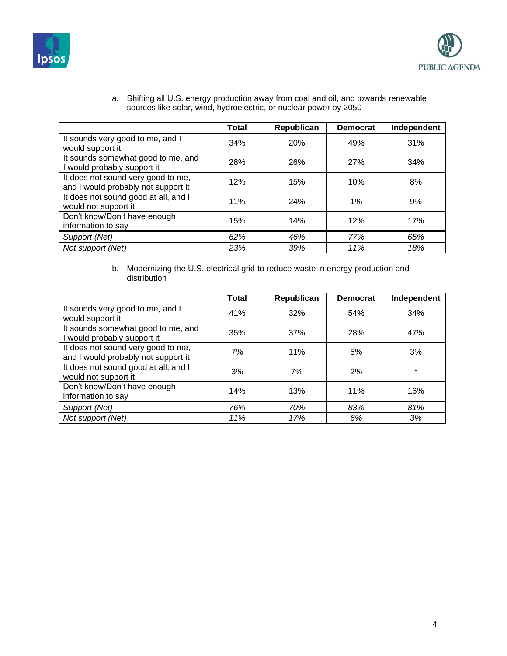



|                                                                           | <b>Total</b> | Republican | <b>Democrat</b> | Independent |
|---------------------------------------------------------------------------|--------------|------------|-----------------|-------------|
| It sounds very good to me, and I<br>would support it                      | 34%          | 20%        | 49%             | 31%         |
| It sounds somewhat good to me, and<br>I would probably support it         | 28%          | 26%        | <b>27%</b>      | 34%         |
| It does not sound very good to me,<br>and I would probably not support it | 12%          | 15%        | 10%             | 8%          |
| It does not sound good at all, and I<br>would not support it              | 11%          | 24%        | 1%              | 9%          |
| Don't know/Don't have enough<br>information to say                        | 15%          | 14%        | 12%             | 17%         |
| Support (Net)                                                             | 62%          | 46%        | 77%             | 65%         |
| Not support (Net)                                                         | 23%          | 39%        | 11%             | 18%         |

a. Shifting all U.S. energy production away from coal and oil, and towards renewable sources like solar, wind, hydroelectric, or nuclear power by 2050

b. Modernizing the U.S. electrical grid to reduce waste in energy production and distribution

|                                                                           | <b>Total</b> | Republican | <b>Democrat</b> | Independent |
|---------------------------------------------------------------------------|--------------|------------|-----------------|-------------|
| It sounds very good to me, and I<br>would support it                      | 41%          | 32%        | 54%             | 34%         |
| It sounds somewhat good to me, and<br>I would probably support it         | 35%          | 37%        | 28%             | 47%         |
| It does not sound very good to me,<br>and I would probably not support it | 7%           | 11%        | 5%              | 3%          |
| It does not sound good at all, and I<br>would not support it              | 3%           | 7%         | 2%              | $\star$     |
| Don't know/Don't have enough<br>information to say                        | 14%          | 13%        | 11%             | 16%         |
| Support (Net)                                                             | 76%          | 70%        | 83%             | 81%         |
| Not support (Net)                                                         | 11%          | 17%        | 6%              | 3%          |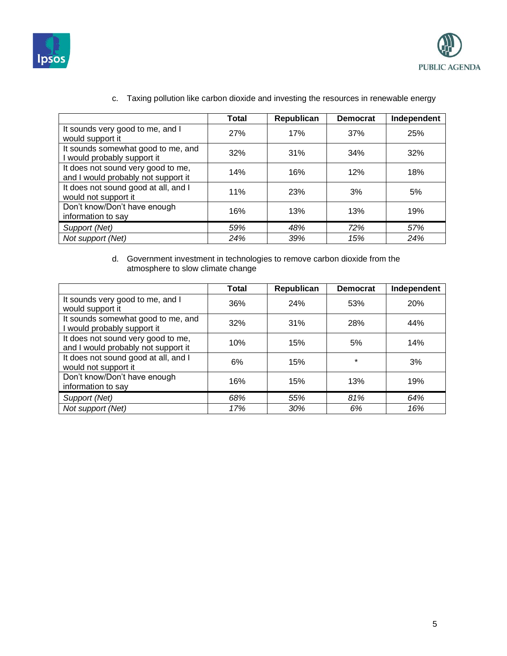



|                                                                           | Total | Republican | <b>Democrat</b> | Independent |
|---------------------------------------------------------------------------|-------|------------|-----------------|-------------|
| It sounds very good to me, and I<br>would support it                      | 27%   | 17%        | 37%             | 25%         |
| It sounds somewhat good to me, and<br>I would probably support it         | 32%   | 31%        | 34%             | 32%         |
| It does not sound very good to me,<br>and I would probably not support it | 14%   | 16%        | 12%             | 18%         |
| It does not sound good at all, and I<br>would not support it              | 11%   | 23%        | 3%              | 5%          |
| Don't know/Don't have enough<br>information to say                        | 16%   | 13%        | 13%             | 19%         |
| Support (Net)                                                             | 59%   | 48%        | 72%             | 57%         |
| Not support (Net)                                                         | 24%   | 39%        | 15%             | 24%         |

## c. Taxing pollution like carbon dioxide and investing the resources in renewable energy

#### d. Government investment in technologies to remove carbon dioxide from the atmosphere to slow climate change

|                                                                           | <b>Total</b> | Republican | <b>Democrat</b> | Independent |
|---------------------------------------------------------------------------|--------------|------------|-----------------|-------------|
| It sounds very good to me, and I<br>would support it                      | 36%          | 24%        | 53%             | <b>20%</b>  |
| It sounds somewhat good to me, and<br>I would probably support it         | 32%          | 31%        | 28%             | 44%         |
| It does not sound very good to me,<br>and I would probably not support it | 10%          | 15%        | 5%              | 14%         |
| It does not sound good at all, and I<br>would not support it              | 6%           | 15%        | $\star$         | 3%          |
| Don't know/Don't have enough<br>information to say                        | 16%          | 15%        | 13%             | 19%         |
| Support (Net)                                                             | 68%          | 55%        | 81%             | 64%         |
| Not support (Net)                                                         | 17%          | 30%        | 6%              | 16%         |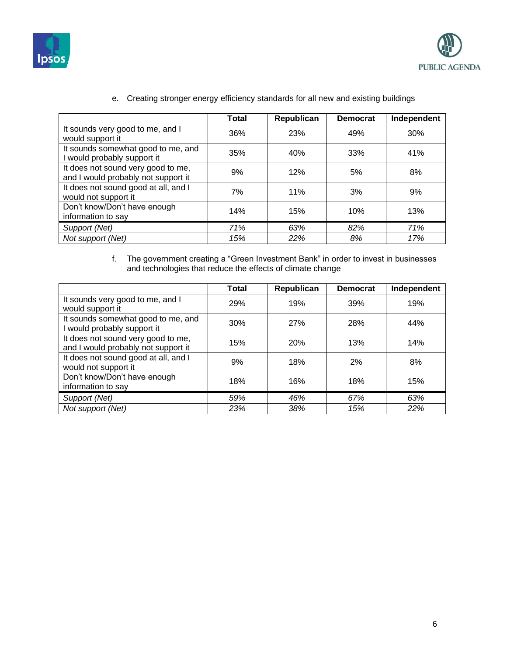



|                                                                           | <b>Total</b> | Republican | <b>Democrat</b> | Independent |
|---------------------------------------------------------------------------|--------------|------------|-----------------|-------------|
| It sounds very good to me, and I<br>would support it                      | 36%          | 23%        | 49%             | 30%         |
| It sounds somewhat good to me, and<br>I would probably support it         | 35%          | 40%        | 33%             | 41%         |
| It does not sound very good to me,<br>and I would probably not support it | 9%           | 12%        | 5%              | 8%          |
| It does not sound good at all, and I<br>would not support it              | 7%           | 11%        | 3%              | 9%          |
| Don't know/Don't have enough<br>information to say                        | 14%          | 15%        | 10%             | 13%         |
| Support (Net)                                                             | 71%          | 63%        | 82%             | 71%         |
| Not support (Net)                                                         | 15%          | 22%        | 8%              | 17%         |

e. Creating stronger energy efficiency standards for all new and existing buildings

f. The government creating a "Green Investment Bank" in order to invest in businesses and technologies that reduce the effects of climate change

|                                                                           | <b>Total</b> | Republican | <b>Democrat</b> | Independent |
|---------------------------------------------------------------------------|--------------|------------|-----------------|-------------|
| It sounds very good to me, and I<br>would support it                      | 29%          | 19%        | 39%             | 19%         |
| It sounds somewhat good to me, and<br>I would probably support it         | 30%          | <b>27%</b> | 28%             | 44%         |
| It does not sound very good to me,<br>and I would probably not support it | 15%          | <b>20%</b> | 13%             | 14%         |
| It does not sound good at all, and I<br>would not support it              | 9%           | 18%        | 2%              | 8%          |
| Don't know/Don't have enough<br>information to say                        | 18%          | 16%        | 18%             | 15%         |
| Support (Net)                                                             | 59%          | 46%        | 67%             | 63%         |
| Not support (Net)                                                         | 23%          | 38%        | 15%             | 22%         |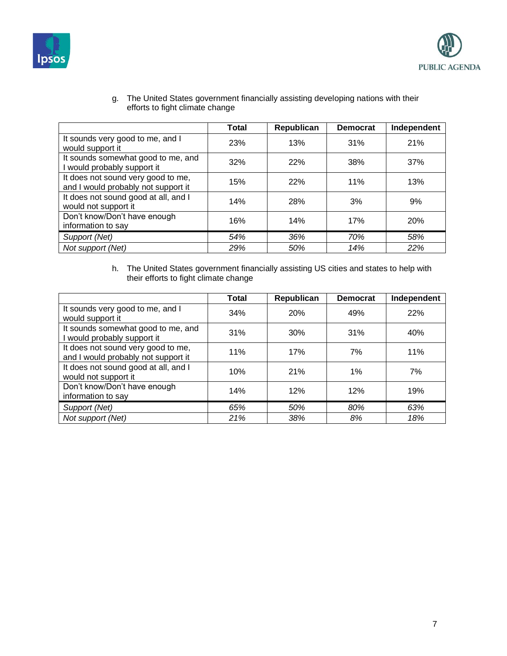



g. The United States government financially assisting developing nations with their efforts to fight climate change

|                                                                           | <b>Total</b> | Republican | <b>Democrat</b> | Independent |
|---------------------------------------------------------------------------|--------------|------------|-----------------|-------------|
| It sounds very good to me, and I<br>would support it                      | 23%          | 13%        | 31%             | 21%         |
| It sounds somewhat good to me, and<br>I would probably support it         | 32%          | <b>22%</b> | 38%             | 37%         |
| It does not sound very good to me,<br>and I would probably not support it | 15%          | 22%        | 11%             | 13%         |
| It does not sound good at all, and I<br>would not support it              | 14%          | 28%        | 3%              | 9%          |
| Don't know/Don't have enough<br>information to say                        | 16%          | 14%        | 17%             | 20%         |
| Support (Net)                                                             | 54%          | 36%        | 70%             | 58%         |
| Not support (Net)                                                         | 29%          | 50%        | 14%             | 22%         |

h. The United States government financially assisting US cities and states to help with their efforts to fight climate change

|                                                                           | Total | Republican | <b>Democrat</b> | Independent |
|---------------------------------------------------------------------------|-------|------------|-----------------|-------------|
| It sounds very good to me, and I<br>would support it                      | 34%   | 20%        | 49%             | 22%         |
| It sounds somewhat good to me, and<br>I would probably support it         | 31%   | 30%        | 31%             | 40%         |
| It does not sound very good to me,<br>and I would probably not support it | 11%   | 17%        | 7%              | 11%         |
| It does not sound good at all, and I<br>would not support it              | 10%   | 21%        | $1\%$           | 7%          |
| Don't know/Don't have enough<br>information to say                        | 14%   | 12%        | 12%             | 19%         |
| Support (Net)                                                             | 65%   | 50%        | 80%             | 63%         |
| Not support (Net)                                                         | 21%   | 38%        | 8%              | 18%         |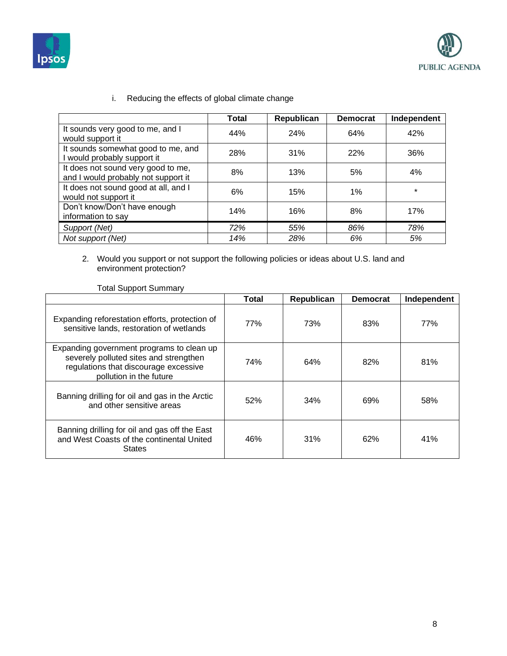



|                                                                           | <b>Total</b> | Republican | <b>Democrat</b> | Independent |
|---------------------------------------------------------------------------|--------------|------------|-----------------|-------------|
| It sounds very good to me, and I<br>would support it                      | 44%          | 24%        | 64%             | 42%         |
| It sounds somewhat good to me, and<br>I would probably support it         | 28%          | 31%        | 22%             | 36%         |
| It does not sound very good to me,<br>and I would probably not support it | 8%           | 13%        | 5%              | 4%          |
| It does not sound good at all, and I<br>would not support it              | 6%           | 15%        | 1%              | $\star$     |
| Don't know/Don't have enough<br>information to say                        | 14%          | 16%        | 8%              | 17%         |
| Support (Net)                                                             | 72%          | 55%        | 86%             | 78%         |
| Not support (Net)                                                         | 14%          | 28%        | 6%              | 5%          |

i. Reducing the effects of global climate change

2. Would you support or not support the following policies or ideas about U.S. land and environment protection?

|                                                                                                                                                         | <b>Total</b> | Republican | <b>Democrat</b> | Independent |
|---------------------------------------------------------------------------------------------------------------------------------------------------------|--------------|------------|-----------------|-------------|
| Expanding reforestation efforts, protection of<br>sensitive lands, restoration of wetlands                                                              | 77%          | 73%        | 83%             | 77%         |
| Expanding government programs to clean up<br>severely polluted sites and strengthen<br>regulations that discourage excessive<br>pollution in the future | 74%          | 64%        | 82%             | 81%         |
| Banning drilling for oil and gas in the Arctic<br>and other sensitive areas                                                                             | 52%          | 34%        | 69%             | 58%         |
| Banning drilling for oil and gas off the East<br>and West Coasts of the continental United<br><b>States</b>                                             | 46%          | 31%        | 62%             | 41%         |

### Total Support Summary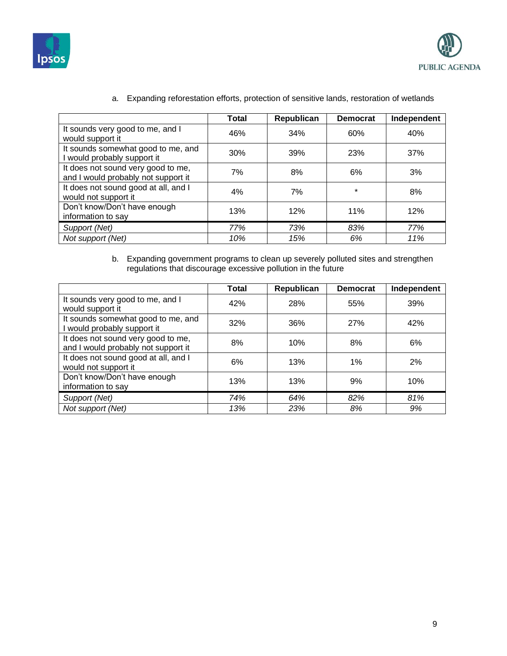



|                                                                           | <b>Total</b> | Republican | <b>Democrat</b> | Independent |
|---------------------------------------------------------------------------|--------------|------------|-----------------|-------------|
| It sounds very good to me, and I<br>would support it                      | 46%          | 34%        | 60%             | 40%         |
| It sounds somewhat good to me, and<br>I would probably support it         | 30%          | 39%        | 23%             | 37%         |
| It does not sound very good to me,<br>and I would probably not support it | 7%           | 8%         | 6%              | 3%          |
| It does not sound good at all, and I<br>would not support it              | 4%           | 7%         | $\star$         | 8%          |
| Don't know/Don't have enough<br>information to say                        | 13%          | 12%        | 11%             | 12%         |
| Support (Net)                                                             | 77%          | 73%        | 83%             | 77%         |
| Not support (Net)                                                         | 10%          | 15%        | 6%              | 11%         |

a. Expanding reforestation efforts, protection of sensitive lands, restoration of wetlands

b. Expanding government programs to clean up severely polluted sites and strengthen regulations that discourage excessive pollution in the future

|                                                                           | <b>Total</b> | Republican | <b>Democrat</b> | Independent |
|---------------------------------------------------------------------------|--------------|------------|-----------------|-------------|
| It sounds very good to me, and I<br>would support it                      | 42%          | 28%        | 55%             | 39%         |
| It sounds somewhat good to me, and<br>I would probably support it         | 32%          | 36%        | 27%             | 42%         |
| It does not sound very good to me,<br>and I would probably not support it | 8%           | 10%        | 8%              | 6%          |
| It does not sound good at all, and I<br>would not support it              | 6%           | 13%        | 1%              | 2%          |
| Don't know/Don't have enough<br>information to say                        | 13%          | 13%        | 9%              | 10%         |
| Support (Net)                                                             | 74%          | 64%        | 82%             | 81%         |
| Not support (Net)                                                         | 13%          | 23%        | 8%              | 9%          |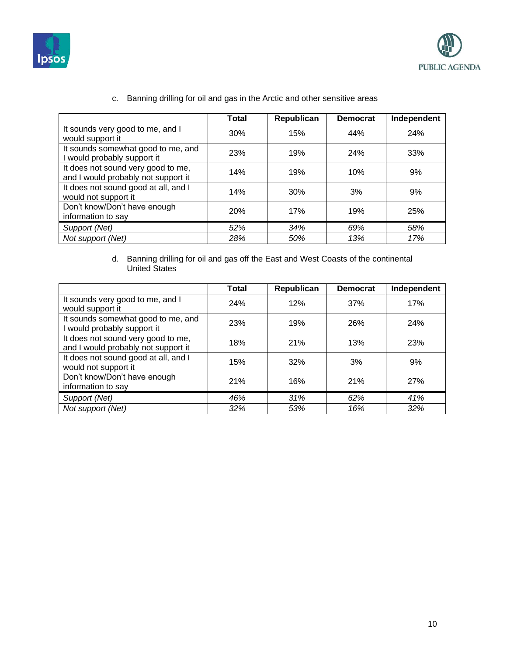



|                                                                           | <b>Total</b> | Republican | <b>Democrat</b> | Independent |
|---------------------------------------------------------------------------|--------------|------------|-----------------|-------------|
| It sounds very good to me, and I<br>would support it                      | 30%          | 15%        | 44%             | 24%         |
| It sounds somewhat good to me, and<br>I would probably support it         | 23%          | 19%        | 24%             | 33%         |
| It does not sound very good to me,<br>and I would probably not support it | 14%          | 19%        | 10%             | 9%          |
| It does not sound good at all, and I<br>would not support it              | 14%          | 30%        | 3%              | 9%          |
| Don't know/Don't have enough<br>information to say                        | 20%          | 17%        | 19%             | 25%         |
| Support (Net)                                                             | 52%          | 34%        | 69%             | 58%         |
| Not support (Net)                                                         | 28%          | 50%        | 13%             | 17%         |
|                                                                           |              |            |                 |             |

c. Banning drilling for oil and gas in the Arctic and other sensitive areas

### d. Banning drilling for oil and gas off the East and West Coasts of the continental United States

|                                                                           | Total | Republican | <b>Democrat</b> | Independent |
|---------------------------------------------------------------------------|-------|------------|-----------------|-------------|
| It sounds very good to me, and I<br>would support it                      | 24%   | 12%        | 37%             | 17%         |
| It sounds somewhat good to me, and<br>I would probably support it         | 23%   | 19%        | 26%             | 24%         |
| It does not sound very good to me,<br>and I would probably not support it | 18%   | 21%        | 13%             | 23%         |
| It does not sound good at all, and I<br>would not support it              | 15%   | 32%        | 3%              | 9%          |
| Don't know/Don't have enough<br>information to say                        | 21%   | 16%        | 21%             | 27%         |
| Support (Net)                                                             | 46%   | 31%        | 62%             | 41%         |
| Not support (Net)                                                         | 32%   | 53%        | 16%             | 32%         |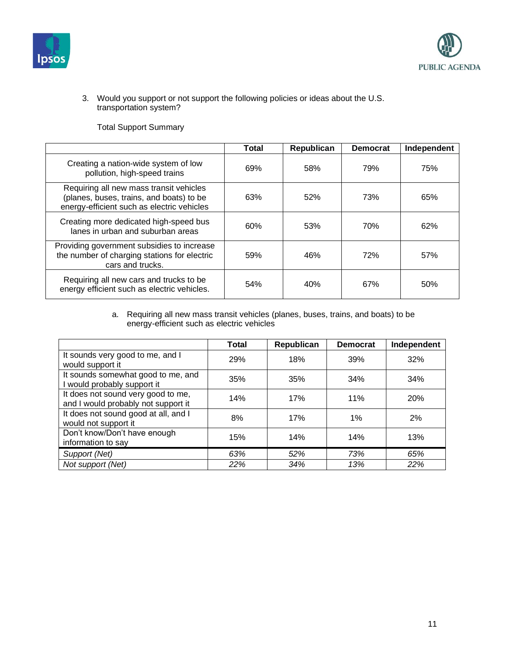



3. Would you support or not support the following policies or ideas about the U.S. transportation system?

Total Support Summary

|                                                                                                                                   | <b>Total</b> | Republican | <b>Democrat</b> | Independent |
|-----------------------------------------------------------------------------------------------------------------------------------|--------------|------------|-----------------|-------------|
| Creating a nation-wide system of low<br>pollution, high-speed trains                                                              | 69%          | 58%        | 79%             | 75%         |
| Requiring all new mass transit vehicles<br>(planes, buses, trains, and boats) to be<br>energy-efficient such as electric vehicles | 63%          | 52%        | 73%             | 65%         |
| Creating more dedicated high-speed bus<br>lanes in urban and suburban areas                                                       | 60%          | 53%        | 70%             | 62%         |
| Providing government subsidies to increase<br>the number of charging stations for electric<br>cars and trucks.                    | 59%          | 46%        | 72%             | 57%         |
| Requiring all new cars and trucks to be<br>energy efficient such as electric vehicles.                                            | 54%          | 40%        | 67%             | 50%         |

a. Requiring all new mass transit vehicles (planes, buses, trains, and boats) to be energy-efficient such as electric vehicles

|                                                                           | <b>Total</b> | Republican | <b>Democrat</b> | Independent |
|---------------------------------------------------------------------------|--------------|------------|-----------------|-------------|
| It sounds very good to me, and I<br>would support it                      | 29%          | 18%        | 39%             | 32%         |
| It sounds somewhat good to me, and<br>I would probably support it         | 35%          | 35%        | 34%             | 34%         |
| It does not sound very good to me,<br>and I would probably not support it | 14%          | 17%        | 11%             | 20%         |
| It does not sound good at all, and I<br>would not support it              | 8%           | 17%        | 1%              | 2%          |
| Don't know/Don't have enough<br>information to say                        | 15%          | 14%        | 14%             | 13%         |
| Support (Net)                                                             | 63%          | 52%        | 73%             | 65%         |
| Not support (Net)                                                         | 22%          | 34%        | 13%             | 22%         |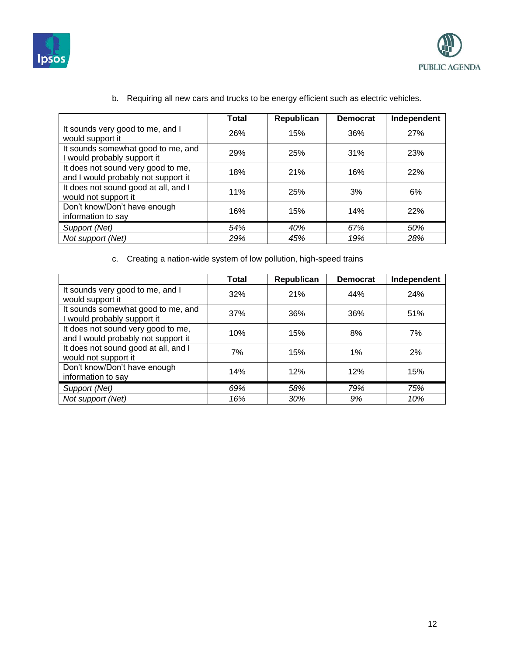



|                                                                           | <b>Total</b> | Republican | <b>Democrat</b> | Independent |
|---------------------------------------------------------------------------|--------------|------------|-----------------|-------------|
| It sounds very good to me, and I<br>would support it                      | 26%          | 15%        | 36%             | 27%         |
| It sounds somewhat good to me, and<br>I would probably support it         | 29%          | 25%        | 31%             | 23%         |
| It does not sound very good to me,<br>and I would probably not support it | 18%          | 21%        | 16%             | 22%         |
| It does not sound good at all, and I<br>would not support it              | 11%          | 25%        | 3%              | 6%          |
| Don't know/Don't have enough<br>information to say                        | 16%          | 15%        | 14%             | 22%         |
| Support (Net)                                                             | 54%          | 40%        | 67%             | 50%         |
| Not support (Net)                                                         | 29%          | 45%        | 19%             | 28%         |

b. Requiring all new cars and trucks to be energy efficient such as electric vehicles.

c. Creating a nation-wide system of low pollution, high-speed trains

|                                                                           | Total | Republican | <b>Democrat</b> | Independent |
|---------------------------------------------------------------------------|-------|------------|-----------------|-------------|
| It sounds very good to me, and I<br>would support it                      | 32%   | 21%        | 44%             | 24%         |
| It sounds somewhat good to me, and<br>I would probably support it         | 37%   | 36%        | 36%             | 51%         |
| It does not sound very good to me,<br>and I would probably not support it | 10%   | 15%        | 8%              | 7%          |
| It does not sound good at all, and I<br>would not support it              | 7%    | 15%        | 1%              | 2%          |
| Don't know/Don't have enough<br>information to say                        | 14%   | 12%        | 12%             | 15%         |
| Support (Net)                                                             | 69%   | 58%        | 79%             | 75%         |
| Not support (Net)                                                         | 16%   | 30%        | 9%              | 10%         |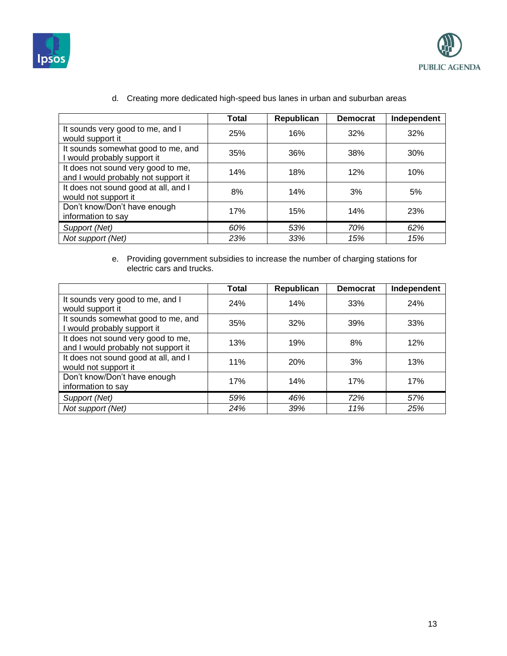



|                                                                           | <b>Total</b> | Republican | <b>Democrat</b> | Independent |
|---------------------------------------------------------------------------|--------------|------------|-----------------|-------------|
| It sounds very good to me, and I<br>would support it                      | 25%          | 16%        | 32%             | 32%         |
| It sounds somewhat good to me, and<br>I would probably support it         | 35%          | 36%        | 38%             | 30%         |
| It does not sound very good to me,<br>and I would probably not support it | 14%          | 18%        | 12%             | 10%         |
| It does not sound good at all, and I<br>would not support it              | 8%           | 14%        | 3%              | 5%          |
| Don't know/Don't have enough<br>information to say                        | 17%          | 15%        | 14%             | 23%         |
| Support (Net)                                                             | 60%          | 53%        | 70%             | 62%         |
| Not support (Net)                                                         | 23%          | 33%        | 15%             | 15%         |

d. Creating more dedicated high-speed bus lanes in urban and suburban areas

#### e. Providing government subsidies to increase the number of charging stations for electric cars and trucks.

|                                                                           | <b>Total</b> | Republican | <b>Democrat</b> | Independent |
|---------------------------------------------------------------------------|--------------|------------|-----------------|-------------|
| It sounds very good to me, and I<br>would support it                      | 24%          | 14%        | 33%             | 24%         |
| It sounds somewhat good to me, and<br>I would probably support it         | 35%          | 32%        | 39%             | 33%         |
| It does not sound very good to me,<br>and I would probably not support it | 13%          | 19%        | 8%              | 12%         |
| It does not sound good at all, and I<br>would not support it              | 11%          | 20%        | 3%              | 13%         |
| Don't know/Don't have enough<br>information to say                        | 17%          | 14%        | 17%             | 17%         |
| Support (Net)                                                             | 59%          | 46%        | 72%             | 57%         |
| Not support (Net)                                                         | 24%          | 39%        | 11%             | 25%         |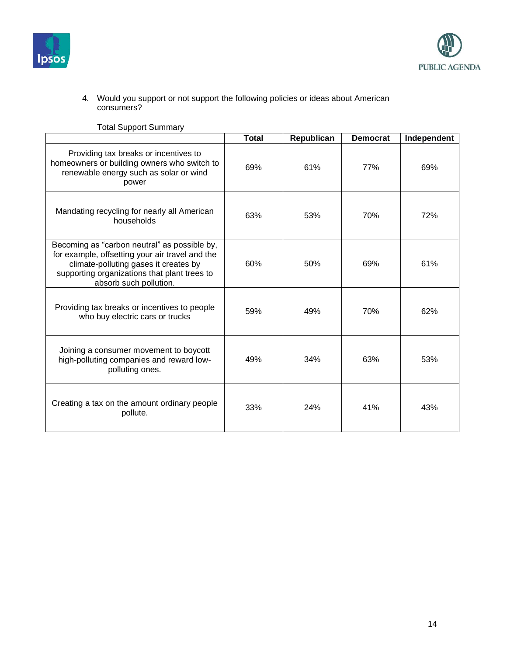



#### 4. Would you support or not support the following policies or ideas about American consumers?

|                                                                                                                                                                                                                    | <b>Total</b> | Republican | <b>Democrat</b> | Independent |
|--------------------------------------------------------------------------------------------------------------------------------------------------------------------------------------------------------------------|--------------|------------|-----------------|-------------|
| Providing tax breaks or incentives to<br>homeowners or building owners who switch to<br>renewable energy such as solar or wind<br>power                                                                            | 69%          | 61%        | 77%             | 69%         |
| Mandating recycling for nearly all American<br>households                                                                                                                                                          | 63%          | 53%        | 70%             | 72%         |
| Becoming as "carbon neutral" as possible by,<br>for example, offsetting your air travel and the<br>climate-polluting gases it creates by<br>supporting organizations that plant trees to<br>absorb such pollution. | 60%          | 50%        | 69%             | 61%         |
| Providing tax breaks or incentives to people<br>who buy electric cars or trucks                                                                                                                                    | 59%          | 49%        | 70%             | 62%         |
| Joining a consumer movement to boycott<br>high-polluting companies and reward low-<br>polluting ones.                                                                                                              | 49%          | 34%        | 63%             | 53%         |
| Creating a tax on the amount ordinary people<br>pollute.                                                                                                                                                           | 33%          | 24%        | 41%             | 43%         |

Total Support Summary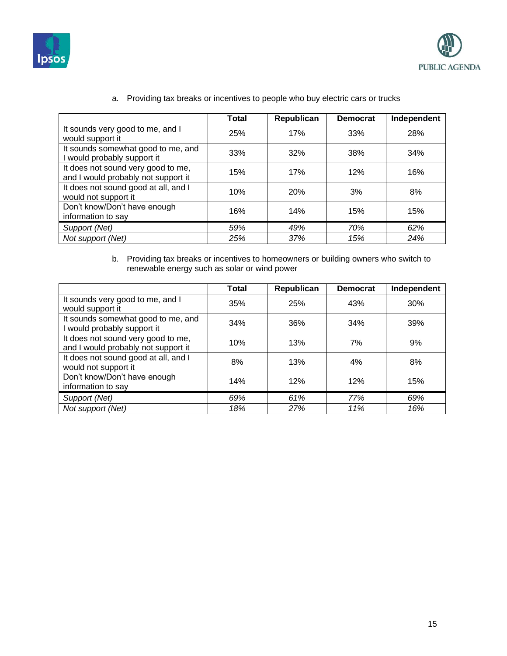



|                                                                           | <b>Total</b> | Republican | <b>Democrat</b> | Independent |
|---------------------------------------------------------------------------|--------------|------------|-----------------|-------------|
| It sounds very good to me, and I<br>would support it                      | 25%          | 17%        | 33%             | 28%         |
| It sounds somewhat good to me, and<br>I would probably support it         | 33%          | 32%        | 38%             | 34%         |
| It does not sound very good to me,<br>and I would probably not support it | 15%          | 17%        | 12%             | 16%         |
| It does not sound good at all, and I<br>would not support it              | 10%          | <b>20%</b> | 3%              | 8%          |
| Don't know/Don't have enough<br>information to say                        | 16%          | 14%        | 15%             | 15%         |
| Support (Net)                                                             | 59%          | 49%        | 70%             | 62%         |
| Not support (Net)                                                         | 25%          | 37%        | 15%             | 24%         |

a. Providing tax breaks or incentives to people who buy electric cars or trucks

b. Providing tax breaks or incentives to homeowners or building owners who switch to renewable energy such as solar or wind power

|                                                                           | <b>Total</b> | Republican | <b>Democrat</b> | Independent |
|---------------------------------------------------------------------------|--------------|------------|-----------------|-------------|
| It sounds very good to me, and I<br>would support it                      | 35%          | 25%        | 43%             | 30%         |
| It sounds somewhat good to me, and<br>I would probably support it         | 34%          | 36%        | 34%             | 39%         |
| It does not sound very good to me,<br>and I would probably not support it | 10%          | 13%        | 7%              | 9%          |
| It does not sound good at all, and I<br>would not support it              | 8%           | 13%        | 4%              | 8%          |
| Don't know/Don't have enough<br>information to say                        | 14%          | 12%        | 12%             | 15%         |
| Support (Net)                                                             | 69%          | 61%        | 77%             | 69%         |
| Not support (Net)                                                         | 18%          | 27%        | 11%             | 16%         |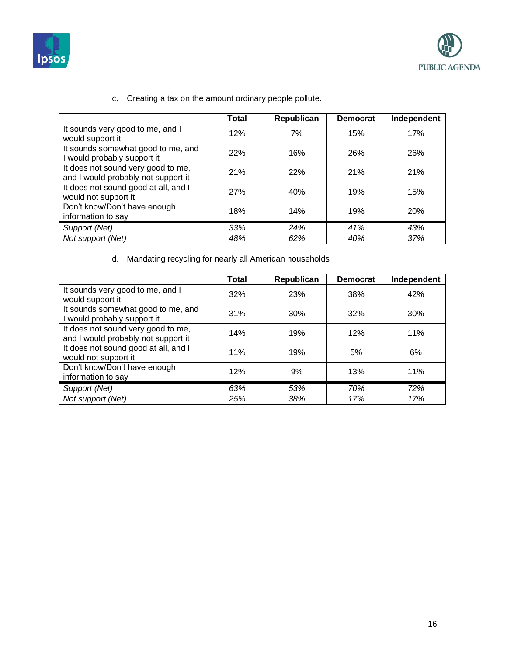



|                                                                           | <b>Total</b> | Republican | <b>Democrat</b> | Independent |
|---------------------------------------------------------------------------|--------------|------------|-----------------|-------------|
| It sounds very good to me, and I<br>would support it                      | 12%          | 7%         | 15%             | 17%         |
| It sounds somewhat good to me, and<br>I would probably support it         | 22%          | 16%        | 26%             | 26%         |
| It does not sound very good to me,<br>and I would probably not support it | 21%          | 22%        | 21%             | 21%         |
| It does not sound good at all, and I<br>would not support it              | 27%          | 40%        | 19%             | 15%         |
| Don't know/Don't have enough<br>information to say                        | 18%          | 14%        | 19%             | <b>20%</b>  |
| Support (Net)                                                             | 33%          | 24%        | 41%             | 43%         |
| Not support (Net)                                                         | 48%          | 62%        | 40%             | 37%         |
|                                                                           |              |            |                 |             |

c. Creating a tax on the amount ordinary people pollute.

d. Mandating recycling for nearly all American households

|                                                                           | Total | Republican | <b>Democrat</b> | Independent |
|---------------------------------------------------------------------------|-------|------------|-----------------|-------------|
| It sounds very good to me, and I<br>would support it                      | 32%   | 23%        | 38%             | 42%         |
| It sounds somewhat good to me, and<br>I would probably support it         | 31%   | 30%        | 32%             | 30%         |
| It does not sound very good to me,<br>and I would probably not support it | 14%   | 19%        | 12%             | 11%         |
| It does not sound good at all, and I<br>would not support it              | 11%   | 19%        | 5%              | 6%          |
| Don't know/Don't have enough<br>information to say                        | 12%   | 9%         | 13%             | 11%         |
| Support (Net)                                                             | 63%   | 53%        | 70%             | 72%         |
| Not support (Net)                                                         | 25%   | 38%        | 17%             | 17%         |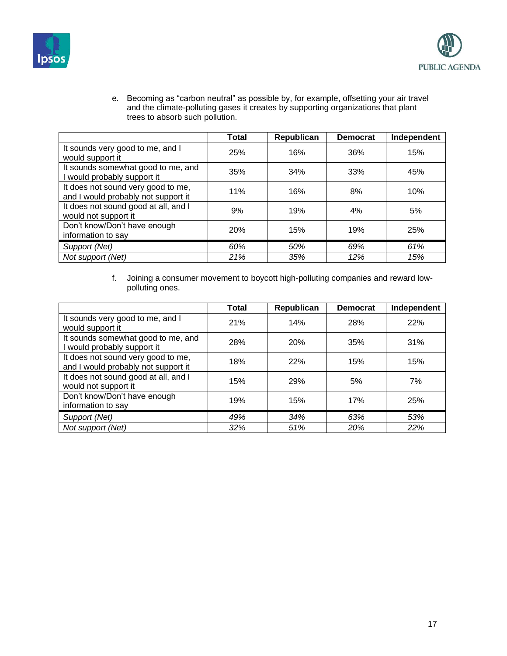



e. Becoming as "carbon neutral" as possible by, for example, offsetting your air travel and the climate-polluting gases it creates by supporting organizations that plant trees to absorb such pollution.

|                                                                           | Total | Republican | <b>Democrat</b> | Independent |
|---------------------------------------------------------------------------|-------|------------|-----------------|-------------|
| It sounds very good to me, and I<br>would support it                      | 25%   | 16%        | 36%             | 15%         |
| It sounds somewhat good to me, and<br>I would probably support it         | 35%   | 34%        | 33%             | 45%         |
| It does not sound very good to me,<br>and I would probably not support it | 11%   | 16%        | 8%              | 10%         |
| It does not sound good at all, and I<br>would not support it              | 9%    | 19%        | 4%              | 5%          |
| Don't know/Don't have enough<br>information to say                        | 20%   | 15%        | 19%             | 25%         |
| Support (Net)                                                             | 60%   | 50%        | 69%             | 61%         |
| Not support (Net)                                                         | 21%   | 35%        | 12%             | 15%         |

f. Joining a consumer movement to boycott high-polluting companies and reward lowpolluting ones.

|                                                                           | <b>Total</b> | Republican | <b>Democrat</b> | Independent |
|---------------------------------------------------------------------------|--------------|------------|-----------------|-------------|
| It sounds very good to me, and I<br>would support it                      | 21%          | 14%        | 28%             | 22%         |
| It sounds somewhat good to me, and<br>I would probably support it         | 28%          | 20%        | 35%             | 31%         |
| It does not sound very good to me,<br>and I would probably not support it | 18%          | <b>22%</b> | 15%             | 15%         |
| It does not sound good at all, and I<br>would not support it              | 15%          | 29%        | 5%              | 7%          |
| Don't know/Don't have enough<br>information to say                        | 19%          | 15%        | 17%             | 25%         |
| Support (Net)                                                             | 49%          | 34%        | 63%             | 53%         |
| Not support (Net)                                                         | 32%          | 51%        | 20%             | 22%         |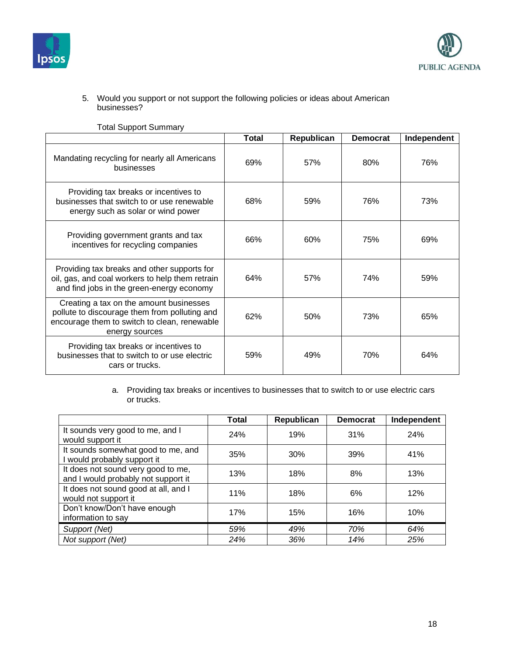



#### 5. Would you support or not support the following policies or ideas about American businesses?

|                                                                                                                                                            | <b>Total</b> | Republican | <b>Democrat</b> | Independent |
|------------------------------------------------------------------------------------------------------------------------------------------------------------|--------------|------------|-----------------|-------------|
| Mandating recycling for nearly all Americans<br>businesses                                                                                                 | 69%          | 57%        | 80%             | 76%         |
| Providing tax breaks or incentives to<br>businesses that switch to or use renewable<br>energy such as solar or wind power                                  | 68%          | 59%        | 76%             | 73%         |
| Providing government grants and tax<br>incentives for recycling companies                                                                                  | 66%          | 60%        | 75%             | 69%         |
| Providing tax breaks and other supports for<br>oil, gas, and coal workers to help them retrain<br>and find jobs in the green-energy economy                | 64%          | 57%        | 74%             | 59%         |
| Creating a tax on the amount businesses<br>pollute to discourage them from polluting and<br>encourage them to switch to clean, renewable<br>energy sources | 62%          | 50%        | 73%             | 65%         |
| Providing tax breaks or incentives to<br>businesses that to switch to or use electric<br>cars or trucks.                                                   | 59%          | 49%        | 70%             | 64%         |

Total Support Summary

a. Providing tax breaks or incentives to businesses that to switch to or use electric cars or trucks.

|                                                                           | <b>Total</b> | Republican | <b>Democrat</b> | Independent |
|---------------------------------------------------------------------------|--------------|------------|-----------------|-------------|
| It sounds very good to me, and I<br>would support it                      | 24%          | 19%        | 31%             | 24%         |
| It sounds somewhat good to me, and<br>I would probably support it         | 35%          | 30%        | 39%             | 41%         |
| It does not sound very good to me,<br>and I would probably not support it | 13%          | 18%        | 8%              | 13%         |
| It does not sound good at all, and I<br>would not support it              | 11%          | 18%        | 6%              | 12%         |
| Don't know/Don't have enough<br>information to say                        | 17%          | 15%        | 16%             | 10%         |
| Support (Net)                                                             | 59%          | 49%        | 70%             | 64%         |
| Not support (Net)                                                         | 24%          | 36%        | 14%             | 25%         |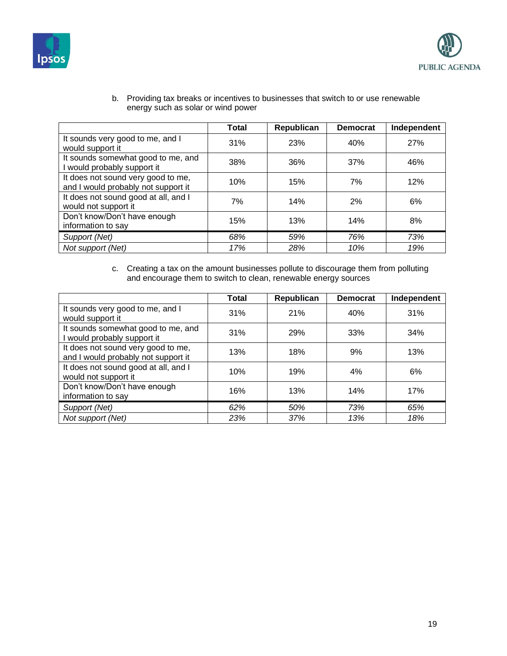



b. Providing tax breaks or incentives to businesses that switch to or use renewable energy such as solar or wind power

|                                                                           | <b>Total</b> | Republican | <b>Democrat</b> | Independent |
|---------------------------------------------------------------------------|--------------|------------|-----------------|-------------|
| It sounds very good to me, and I<br>would support it                      | 31%          | 23%        | 40%             | 27%         |
| It sounds somewhat good to me, and<br>I would probably support it         | 38%          | 36%        | 37%             | 46%         |
| It does not sound very good to me,<br>and I would probably not support it | 10%          | 15%        | 7%              | 12%         |
| It does not sound good at all, and I<br>would not support it              | 7%           | 14%        | 2%              | 6%          |
| Don't know/Don't have enough<br>information to say                        | 15%          | 13%        | 14%             | 8%          |
| Support (Net)                                                             | 68%          | 59%        | 76%             | 73%         |
| Not support (Net)                                                         | 17%          | 28%        | 10%             | 19%         |

c. Creating a tax on the amount businesses pollute to discourage them from polluting and encourage them to switch to clean, renewable energy sources

|                                                                           | Total | Republican | <b>Democrat</b> | Independent |
|---------------------------------------------------------------------------|-------|------------|-----------------|-------------|
| It sounds very good to me, and I<br>would support it                      | 31%   | 21%        | 40%             | 31%         |
| It sounds somewhat good to me, and<br>I would probably support it         | 31%   | 29%        | 33%             | 34%         |
| It does not sound very good to me,<br>and I would probably not support it | 13%   | 18%        | 9%              | 13%         |
| It does not sound good at all, and I<br>would not support it              | 10%   | 19%        | 4%              | 6%          |
| Don't know/Don't have enough<br>information to say                        | 16%   | 13%        | 14%             | 17%         |
| Support (Net)                                                             | 62%   | 50%        | 73%             | 65%         |
| Not support (Net)                                                         | 23%   | 37%        | 13%             | 18%         |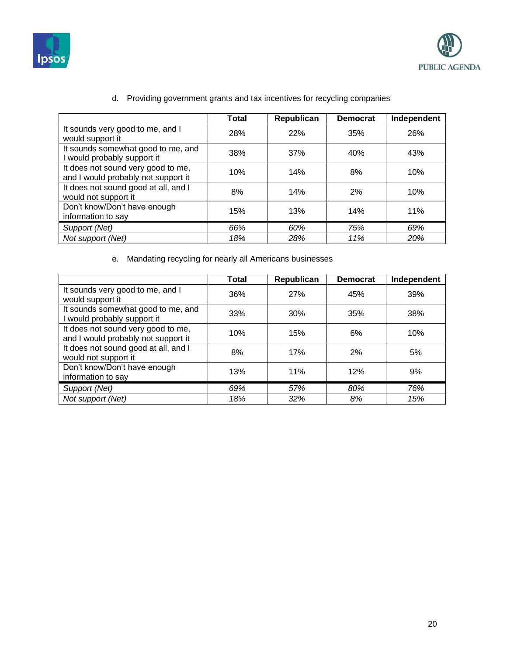



|                                                                           | <b>Total</b> | Republican | <b>Democrat</b> | Independent |
|---------------------------------------------------------------------------|--------------|------------|-----------------|-------------|
| It sounds very good to me, and I<br>would support it                      | 28%          | 22%        | 35%             | 26%         |
| It sounds somewhat good to me, and<br>I would probably support it         | 38%          | 37%        | 40%             | 43%         |
| It does not sound very good to me,<br>and I would probably not support it | 10%          | 14%        | 8%              | 10%         |
| It does not sound good at all, and I<br>would not support it              | 8%           | 14%        | 2%              | 10%         |
| Don't know/Don't have enough<br>information to say                        | 15%          | 13%        | 14%             | 11%         |
| Support (Net)                                                             | 66%          | 60%        | 75%             | 69%         |
| Not support (Net)                                                         | 18%          | 28%        | 11%             | 20%         |
|                                                                           |              |            |                 |             |

### d. Providing government grants and tax incentives for recycling companies

e. Mandating recycling for nearly all Americans businesses

|                                                                           | Total | Republican | <b>Democrat</b> | Independent |
|---------------------------------------------------------------------------|-------|------------|-----------------|-------------|
| It sounds very good to me, and I<br>would support it                      | 36%   | 27%        | 45%             | 39%         |
| It sounds somewhat good to me, and<br>I would probably support it         | 33%   | 30%        | 35%             | 38%         |
| It does not sound very good to me,<br>and I would probably not support it | 10%   | 15%        | 6%              | 10%         |
| It does not sound good at all, and I<br>would not support it              | 8%    | 17%        | 2%              | 5%          |
| Don't know/Don't have enough<br>information to say                        | 13%   | 11%        | 12%             | 9%          |
| Support (Net)                                                             | 69%   | 57%        | 80%             | 76%         |
| Not support (Net)                                                         | 18%   | 32%        | 8%              | 15%         |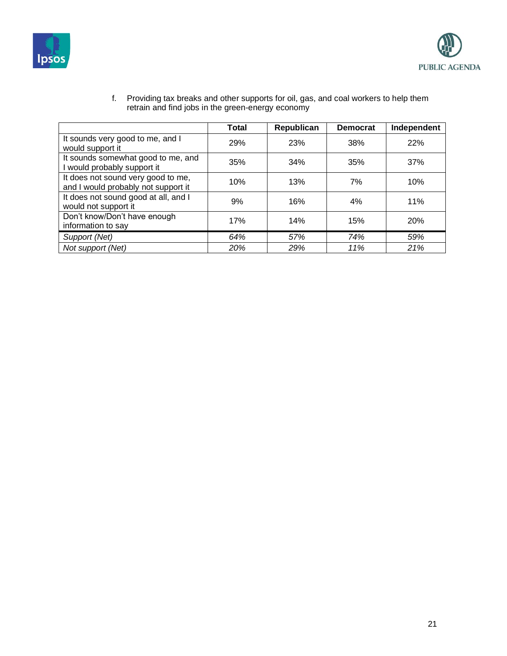



|                                                                           | <b>Total</b> | Republican | <b>Democrat</b> | Independent |
|---------------------------------------------------------------------------|--------------|------------|-----------------|-------------|
| It sounds very good to me, and I<br>would support it                      | 29%          | 23%        | 38%             | 22%         |
| It sounds somewhat good to me, and<br>I would probably support it         | 35%          | 34%        | 35%             | 37%         |
| It does not sound very good to me,<br>and I would probably not support it | 10%          | 13%        | 7%              | 10%         |
| It does not sound good at all, and I<br>would not support it              | 9%           | 16%        | 4%              | 11%         |
| Don't know/Don't have enough<br>information to say                        | 17%          | 14%        | 15%             | <b>20%</b>  |
| Support (Net)                                                             | 64%          | 57%        | 74%             | 59%         |
| Not support (Net)                                                         | 20%          | 29%        | 11%             | 21%         |

f. Providing tax breaks and other supports for oil, gas, and coal workers to help them retrain and find jobs in the green-energy economy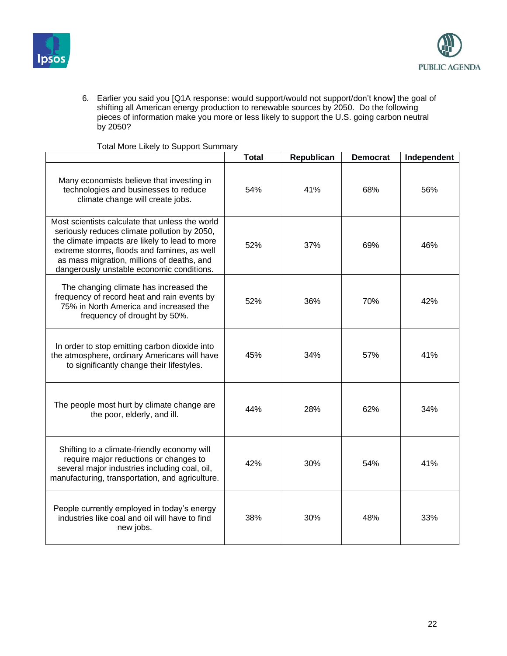



6. Earlier you said you [Q1A response: would support/would not support/don't know] the goal of shifting all American energy production to renewable sources by 2050. Do the following pieces of information make you more or less likely to support the U.S. going carbon neutral by 2050?

|                                                                                                                                                                                                                                                                                             | <b>Total</b> | Republican | <b>Democrat</b> | Independent |
|---------------------------------------------------------------------------------------------------------------------------------------------------------------------------------------------------------------------------------------------------------------------------------------------|--------------|------------|-----------------|-------------|
| Many economists believe that investing in<br>technologies and businesses to reduce<br>climate change will create jobs.                                                                                                                                                                      | 54%          | 41%        | 68%             | 56%         |
| Most scientists calculate that unless the world<br>seriously reduces climate pollution by 2050,<br>the climate impacts are likely to lead to more<br>extreme storms, floods and famines, as well<br>as mass migration, millions of deaths, and<br>dangerously unstable economic conditions. | 52%          | 37%        | 69%             | 46%         |
| The changing climate has increased the<br>frequency of record heat and rain events by<br>75% in North America and increased the<br>frequency of drought by 50%.                                                                                                                             | 52%          | 36%        | 70%             | 42%         |
| In order to stop emitting carbon dioxide into<br>the atmosphere, ordinary Americans will have<br>to significantly change their lifestyles.                                                                                                                                                  | 45%          | 34%        | 57%             | 41%         |
| The people most hurt by climate change are<br>the poor, elderly, and ill.                                                                                                                                                                                                                   | 44%          | 28%        | 62%             | 34%         |
| Shifting to a climate-friendly economy will<br>require major reductions or changes to<br>several major industries including coal, oil,<br>manufacturing, transportation, and agriculture.                                                                                                   | 42%          | 30%        | 54%             | 41%         |
| People currently employed in today's energy<br>industries like coal and oil will have to find<br>new jobs.                                                                                                                                                                                  | 38%          | 30%        | 48%             | 33%         |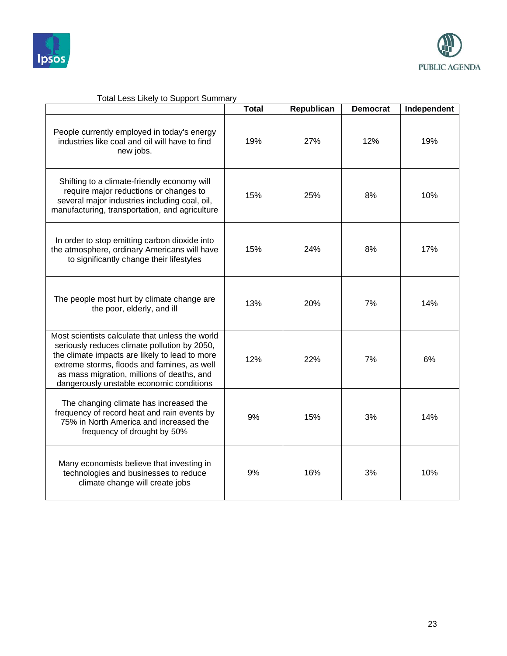



|                                                                                                                                                                                                                                                                                            | <b>Total</b> | Republican | <b>Democrat</b> | Independent |
|--------------------------------------------------------------------------------------------------------------------------------------------------------------------------------------------------------------------------------------------------------------------------------------------|--------------|------------|-----------------|-------------|
| People currently employed in today's energy<br>industries like coal and oil will have to find<br>new jobs.                                                                                                                                                                                 | 19%          | 27%        | 12%             | 19%         |
| Shifting to a climate-friendly economy will<br>require major reductions or changes to<br>several major industries including coal, oil,<br>manufacturing, transportation, and agriculture                                                                                                   | 15%          | 25%        | 8%              | 10%         |
| In order to stop emitting carbon dioxide into<br>the atmosphere, ordinary Americans will have<br>to significantly change their lifestyles                                                                                                                                                  | 15%          | 24%        | 8%              | 17%         |
| The people most hurt by climate change are<br>the poor, elderly, and ill                                                                                                                                                                                                                   | 13%          | 20%        | 7%              | 14%         |
| Most scientists calculate that unless the world<br>seriously reduces climate pollution by 2050,<br>the climate impacts are likely to lead to more<br>extreme storms, floods and famines, as well<br>as mass migration, millions of deaths, and<br>dangerously unstable economic conditions | 12%          | 22%        | 7%              | 6%          |
| The changing climate has increased the<br>frequency of record heat and rain events by<br>75% in North America and increased the<br>frequency of drought by 50%                                                                                                                             | 9%           | 15%        | 3%              | 14%         |
| Many economists believe that investing in<br>technologies and businesses to reduce<br>climate change will create jobs                                                                                                                                                                      | 9%           | 16%        | 3%              | 10%         |

# Total Less Likely to Support Summary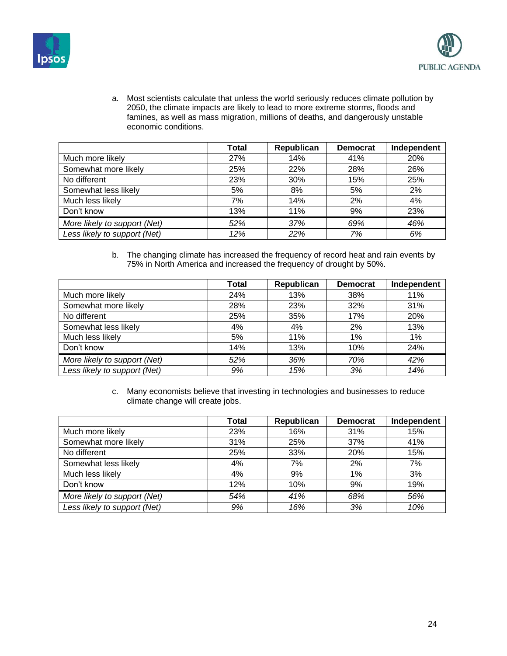



a. Most scientists calculate that unless the world seriously reduces climate pollution by 2050, the climate impacts are likely to lead to more extreme storms, floods and famines, as well as mass migration, millions of deaths, and dangerously unstable economic conditions.

|                              | Total | Republican | <b>Democrat</b> | Independent |
|------------------------------|-------|------------|-----------------|-------------|
| Much more likely             | 27%   | 14%        | 41%             | 20%         |
| Somewhat more likely         | 25%   | 22%        | 28%             | 26%         |
| No different                 | 23%   | 30%        | 15%             | 25%         |
| Somewhat less likely         | 5%    | 8%         | 5%              | 2%          |
| Much less likely             | 7%    | 14%        | 2%              | 4%          |
| Don't know                   | 13%   | 11%        | 9%              | 23%         |
| More likely to support (Net) | 52%   | 37%        | 69%             | 46%         |
| Less likely to support (Net) | 12%   | 22%        | 7%              | 6%          |

b. The changing climate has increased the frequency of record heat and rain events by 75% in North America and increased the frequency of drought by 50%.

|                              | <b>Total</b> | Republican | <b>Democrat</b> | Independent |
|------------------------------|--------------|------------|-----------------|-------------|
| Much more likely             | 24%          | 13%        | 38%             | 11%         |
| Somewhat more likely         | 28%          | 23%        | 32%             | 31%         |
| No different                 | 25%          | 35%        | 17%             | 20%         |
| Somewhat less likely         | 4%           | 4%         | 2%              | 13%         |
| Much less likely             | 5%           | 11%        | 1%              | 1%          |
| Don't know                   | 14%          | 13%        | 10%             | 24%         |
| More likely to support (Net) | 52%          | 36%        | 70%             | 42%         |
| Less likely to support (Net) | 9%           | 15%        | 3%              | 14%         |

c. Many economists believe that investing in technologies and businesses to reduce climate change will create jobs.

|                              | <b>Total</b> | Republican | <b>Democrat</b> | Independent |
|------------------------------|--------------|------------|-----------------|-------------|
| Much more likely             | 23%          | 16%        | 31%             | 15%         |
| Somewhat more likely         | 31%          | 25%        | 37%             | 41%         |
| No different                 | 25%          | 33%        | 20%             | 15%         |
| Somewhat less likely         | 4%           | 7%         | 2%              | 7%          |
| Much less likely             | 4%           | 9%         | 1%              | 3%          |
| Don't know                   | 12%          | 10%        | 9%              | 19%         |
| More likely to support (Net) | 54%          | 41%        | 68%             | 56%         |
| Less likely to support (Net) | 9%           | 16%        | 3%              | 10%         |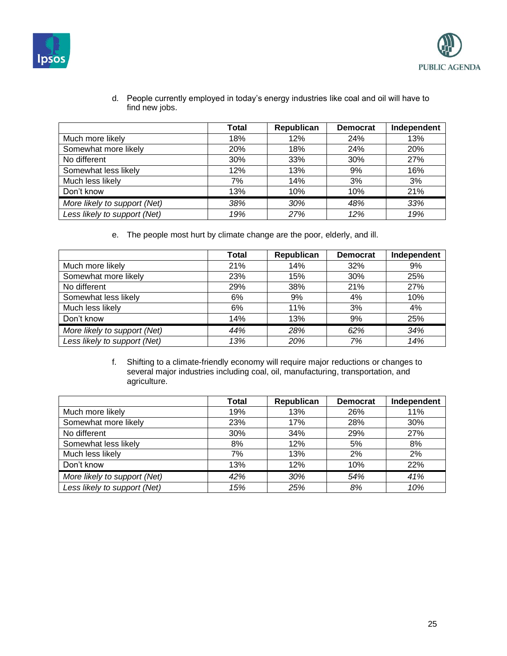



- **Total Republican Democrat Independent** Much more likely **18%** 18% 12% 24% 13% Somewhat more likely **20%** 18% 24% 20% 20% No different 1 1 30% 33% 33% 30% 30% 37% Somewhat less likely 12% 13% 9% 16% Much less likely **12%** 14% 3% 3% 3% Don't know 13% 10% 10% 21% *More likely to support (Net) 38% 30% 48% 33% Less likely to support (Net) 19% 27% 12% 19%*
- d. People currently employed in today's energy industries like coal and oil will have to find new jobs.

e. The people most hurt by climate change are the poor, elderly, and ill.

|                              | Total | Republican | <b>Democrat</b> | Independent |
|------------------------------|-------|------------|-----------------|-------------|
| Much more likely             | 21%   | 14%        | 32%             | 9%          |
| Somewhat more likely         | 23%   | 15%        | 30%             | 25%         |
| No different                 | 29%   | 38%        | 21%             | 27%         |
| Somewhat less likely         | 6%    | 9%         | 4%              | 10%         |
| Much less likely             | 6%    | 11%        | 3%              | 4%          |
| Don't know                   | 14%   | 13%        | 9%              | 25%         |
| More likely to support (Net) | 44%   | 28%        | 62%             | 34%         |
| Less likely to support (Net) | 13%   | 20%        | 7%              | 14%         |

f. Shifting to a climate-friendly economy will require major reductions or changes to several major industries including coal, oil, manufacturing, transportation, and agriculture.

|                              | <b>Total</b> | Republican | <b>Democrat</b> | Independent |
|------------------------------|--------------|------------|-----------------|-------------|
| Much more likely             | 19%          | 13%        | 26%             | 11%         |
| Somewhat more likely         | 23%          | 17%        | 28%             | 30%         |
| No different                 | 30%          | 34%        | 29%             | 27%         |
| Somewhat less likely         | 8%           | 12%        | 5%              | 8%          |
| Much less likely             | 7%           | 13%        | 2%              | 2%          |
| Don't know                   | 13%          | 12%        | 10%             | 22%         |
| More likely to support (Net) | 42%          | 30%        | 54%             | 41%         |
| Less likely to support (Net) | 15%          | 25%        | 8%              | 10%         |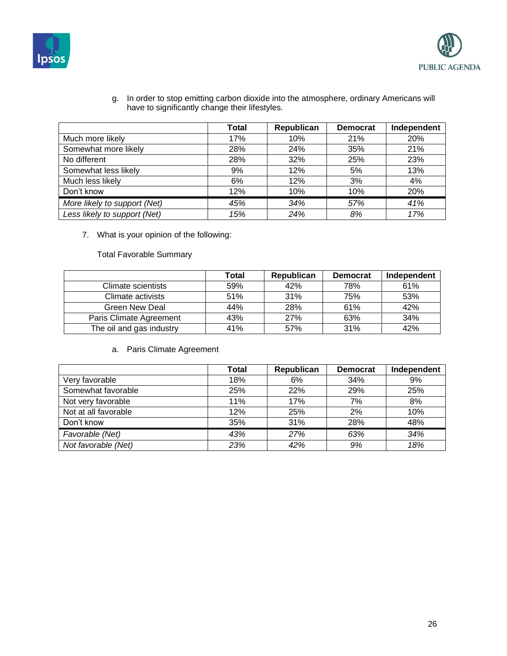



g. In order to stop emitting carbon dioxide into the atmosphere, ordinary Americans will have to significantly change their lifestyles.

|                              | Total | Republican | <b>Democrat</b> | Independent |
|------------------------------|-------|------------|-----------------|-------------|
| Much more likely             | 17%   | 10%        | 21%             | 20%         |
| Somewhat more likely         | 28%   | 24%        | 35%             | 21%         |
| No different                 | 28%   | 32%        | 25%             | 23%         |
| Somewhat less likely         | 9%    | 12%        | 5%              | 13%         |
| Much less likely             | 6%    | 12%        | 3%              | 4%          |
| Don't know                   | 12%   | 10%        | 10%             | 20%         |
| More likely to support (Net) | 45%   | 34%        | 57%             | 41%         |
| Less likely to support (Net) | 15%   | 24%        | 8%              | 17%         |

7. What is your opinion of the following:

Total Favorable Summary

|                          | Total | Republican | <b>Democrat</b> | Independent |
|--------------------------|-------|------------|-----------------|-------------|
| Climate scientists       | 59%   | 42%        | 78%             | 61%         |
| Climate activists        | 51%   | 31%        | 75%             | 53%         |
| Green New Deal           | 44%   | 28%        | 61%             | 42%         |
| Paris Climate Agreement  | 43%   | 27%        | 63%             | 34%         |
| The oil and gas industry | 41%   | 57%        | 31%             | 42%         |

### a. Paris Climate Agreement

|                      | Total | Republican | <b>Democrat</b> | Independent |
|----------------------|-------|------------|-----------------|-------------|
| Very favorable       | 18%   | 6%         | 34%             | 9%          |
| Somewhat favorable   | 25%   | 22%        | 29%             | 25%         |
| Not very favorable   | 11%   | 17%        | 7%              | 8%          |
| Not at all favorable | 12%   | 25%        | 2%              | 10%         |
| Don't know           | 35%   | 31%        | 28%             | 48%         |
| Favorable (Net)      | 43%   | 27%        | 63%             | 34%         |
| Not favorable (Net)  | 23%   | 42%        | 9%              | 18%         |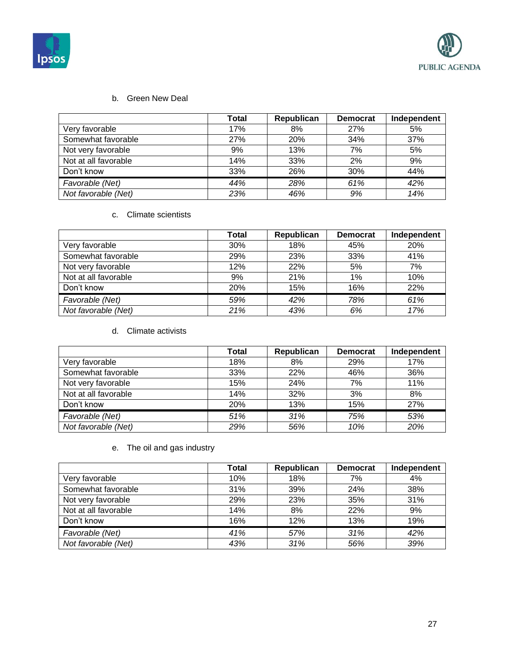



### b. Green New Deal

|                      | <b>Total</b> | Republican | <b>Democrat</b> | Independent |
|----------------------|--------------|------------|-----------------|-------------|
| Very favorable       | 17%          | 8%         | 27%             | 5%          |
| Somewhat favorable   | 27%          | 20%        | 34%             | 37%         |
| Not very favorable   | 9%           | 13%        | 7%              | 5%          |
| Not at all favorable | 14%          | 33%        | 2%              | 9%          |
| Don't know           | 33%          | 26%        | 30%             | 44%         |
| Favorable (Net)      | 44%          | 28%        | 61%             | 42%         |
| Not favorable (Net)  | 23%          | 46%        | 9%              | 14%         |

### c. Climate scientists

|                      | Total | Republican | <b>Democrat</b> | Independent |
|----------------------|-------|------------|-----------------|-------------|
| Very favorable       | 30%   | 18%        | 45%             | 20%         |
| Somewhat favorable   | 29%   | 23%        | 33%             | 41%         |
| Not very favorable   | 12%   | 22%        | 5%              | 7%          |
| Not at all favorable | 9%    | 21%        | $1\%$           | 10%         |
| Don't know           | 20%   | 15%        | 16%             | 22%         |
| Favorable (Net)      | 59%   | 42%        | 78%             | 61%         |
| Not favorable (Net)  | 21%   | 43%        | 6%              | 17%         |

#### d. Climate activists

|                      | Total      | Republican | <b>Democrat</b> | Independent |
|----------------------|------------|------------|-----------------|-------------|
| Very favorable       | 18%        | 8%         | <b>29%</b>      | 17%         |
| Somewhat favorable   | 33%        | 22%        | 46%             | 36%         |
| Not very favorable   | 15%        | 24%        | 7%              | 11%         |
| Not at all favorable | 14%        | 32%        | 3%              | 8%          |
| Don't know           | <b>20%</b> | 13%        | 15%             | <b>27%</b>  |
| Favorable (Net)      | 51%        | 31%        | 75%             | 53%         |
| Not favorable (Net)  | 29%        | 56%        | 10%             | 20%         |

# e. The oil and gas industry

|                      | Total | Republican | <b>Democrat</b> | Independent |
|----------------------|-------|------------|-----------------|-------------|
| Very favorable       | 10%   | 18%        | 7%              | 4%          |
| Somewhat favorable   | 31%   | 39%        | 24%             | 38%         |
| Not very favorable   | 29%   | 23%        | 35%             | 31%         |
| Not at all favorable | 14%   | 8%         | 22%             | 9%          |
| Don't know           | 16%   | 12%        | 13%             | 19%         |
| Favorable (Net)      | 41%   | 57%        | 31%             | 42%         |
| Not favorable (Net)  | 43%   | 31%        | 56%             | 39%         |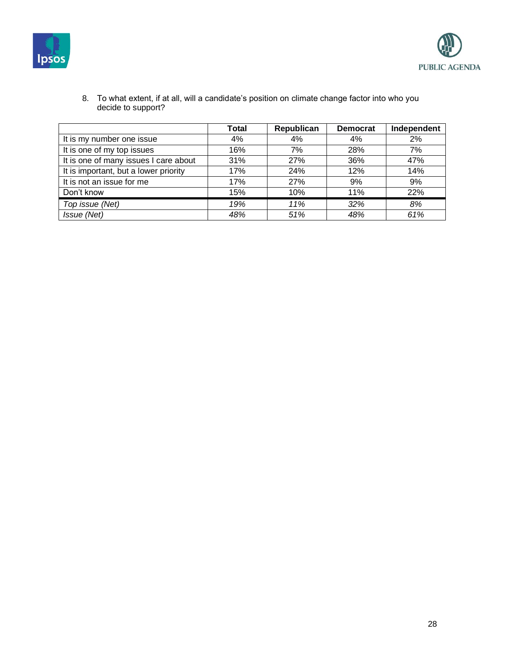



|                                       | <b>Total</b> | Republican | <b>Democrat</b> | Independent |
|---------------------------------------|--------------|------------|-----------------|-------------|
| It is my number one issue             | 4%           | 4%         | 4%              | 2%          |
| It is one of my top issues            | 16%          | 7%         | 28%             | 7%          |
| It is one of many issues I care about | 31%          | 27%        | 36%             | 47%         |
| It is important, but a lower priority | 17%          | 24%        | 12%             | 14%         |
| It is not an issue for me             | 17%          | 27%        | 9%              | 9%          |
| Don't know                            | 15%          | 10%        | 11%             | 22%         |
| Top issue (Net)                       | 19%          | 11%        | 32%             | 8%          |
| Issue (Net)                           | 48%          | 51%        | 48%             | 61%         |

8. To what extent, if at all, will a candidate's position on climate change factor into who you decide to support?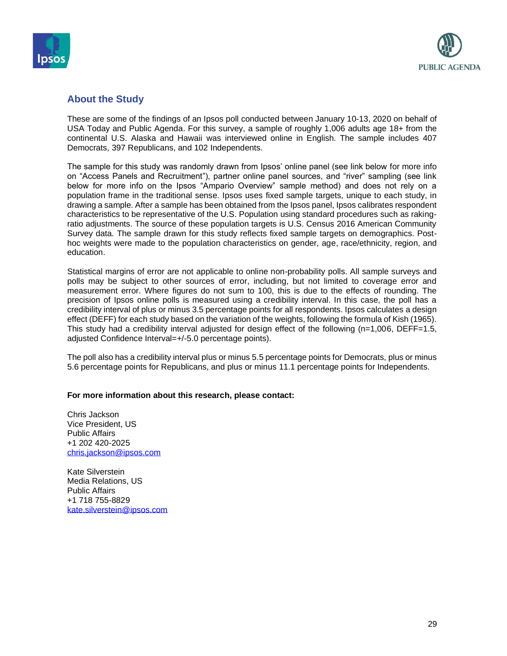



### **About the Study**

These are some of the findings of an Ipsos poll conducted between January 10-13, 2020 on behalf of USA Today and Public Agenda. For this survey, a sample of roughly 1,006 adults age 18+ from the continental U.S. Alaska and Hawaii was interviewed online in English. The sample includes 407 Democrats, 397 Republicans, and 102 Independents.

The sample for this study was randomly drawn from Ipsos' online panel (see link below for more info on "Access Panels and Recruitment"), partner online panel sources, and "river" sampling (see link below for more info on the Ipsos "Ampario Overview" sample method) and does not rely on a population frame in the traditional sense. Ipsos uses fixed sample targets, unique to each study, in drawing a sample. After a sample has been obtained from the Ipsos panel, Ipsos calibrates respondent characteristics to be representative of the U.S. Population using standard procedures such as rakingratio adjustments. The source of these population targets is U.S. Census 2016 American Community Survey data. The sample drawn for this study reflects fixed sample targets on demographics. Posthoc weights were made to the population characteristics on gender, age, race/ethnicity, region, and education.

Statistical margins of error are not applicable to online non-probability polls. All sample surveys and polls may be subject to other sources of error, including, but not limited to coverage error and measurement error. Where figures do not sum to 100, this is due to the effects of rounding. The precision of Ipsos online polls is measured using a credibility interval. In this case, the poll has a credibility interval of plus or minus 3.5 percentage points for all respondents. Ipsos calculates a design effect (DEFF) for each study based on the variation of the weights, following the formula of Kish (1965). This study had a credibility interval adjusted for design effect of the following (n=1,006, DEFF=1.5, adjusted Confidence Interval=+/-5.0 percentage points).

The poll also has a credibility interval plus or minus 5.5 percentage points for Democrats, plus or minus 5.6 percentage points for Republicans, and plus or minus 11.1 percentage points for Independents.

#### **For more information about this research, please contact:**

Chris Jackson Vice President, US Public Affairs +1 202 420-2025 [chris.jackson@ipsos.com](mailto:chris.jackson@ipsos.com)

Kate Silverstein Media Relations, US Public Affairs +1 718 755-8829 [kate.silverstein@ipsos.com](mailto:kate.silverstein@ipsos.com)